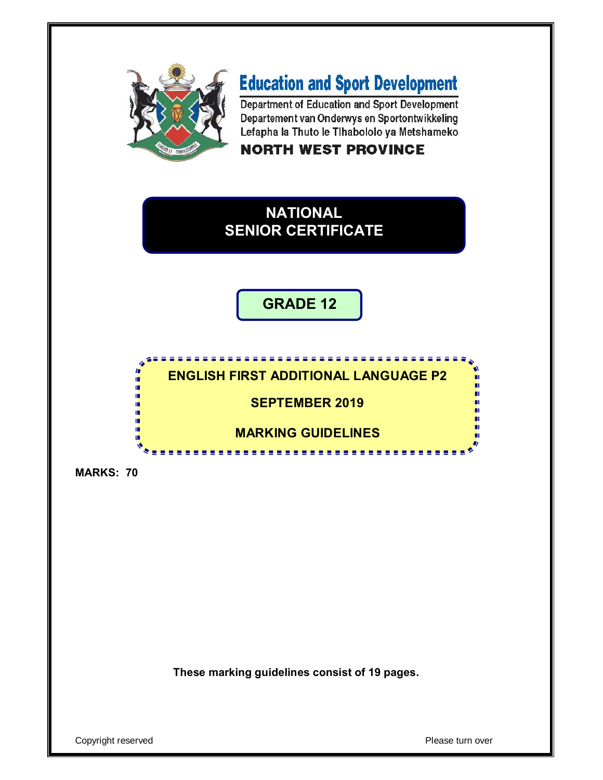

# **Education and Sport Development**

Department of Education and Sport Development Departement van Onderwys en Sportontwikkeling Lefapha la Thuto le Tihabololo ya Metshameko

### **NORTH WEST PROVINCE**



**GRADE 12**

### **ENGLISH FIRST ADDITIONAL LANGUAGE P2**

**SEPTEMBER 2019**

**MARKING GUIDELINES**

<u>. . . . . . . . . . . . . . . . .</u>

**MARKS: 70**

In 唓 ú,

ú,

ú, 庫 ú,

I. ú ۸

**These marking guidelines consist of 19 pages.**

Copyright reserved **Please turn over**  $\blacksquare$ 

П ш

ш

ш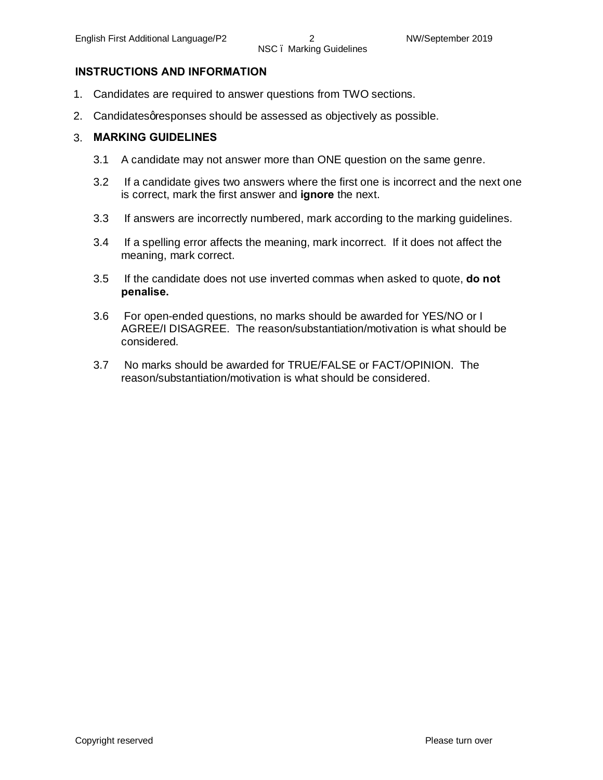#### **INSTRUCTIONS AND INFORMATION**

- 1. Candidates are required to answer questions from TWO sections.
- 2. Candidates qresponses should be assessed as objectively as possible.

#### 3. **MARKING GUIDELINES**

- 3.1 A candidate may not answer more than ONE question on the same genre.
- 3.2 If a candidate gives two answers where the first one is incorrect and the next one is correct, mark the first answer and **ignore** the next.
- 3.3 If answers are incorrectly numbered, mark according to the marking guidelines.
- 3.4 If a spelling error affects the meaning, mark incorrect. If it does not affect the meaning, mark correct.
- 3.5 If the candidate does not use inverted commas when asked to quote, **do not penalise.**
- 3.6 For open-ended questions, no marks should be awarded for YES/NO or I AGREE/I DISAGREE. The reason/substantiation/motivation is what should be considered.
- 3.7 No marks should be awarded for TRUE/FALSE or FACT/OPINION. The reason/substantiation/motivation is what should be considered.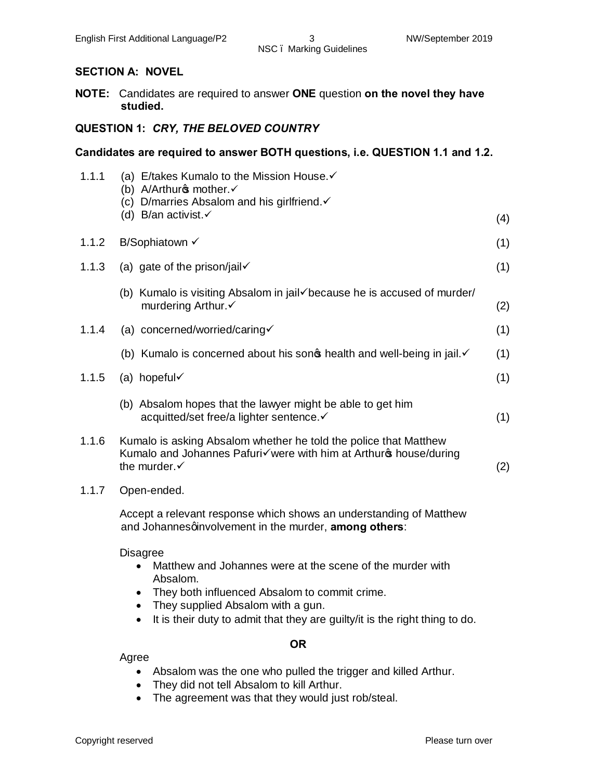#### **SECTION A: NOVEL**

**NOTE:** Candidates are required to answer **ONE** question **on the novel they have studied.**

#### **QUESTION 1:** *CRY, THE BELOVED COUNTRY*

#### **Candidates are required to answer BOTH questions, i.e. QUESTION 1.1 and 1.2.**

| 1.1.1 | (a) E/takes Kumalo to the Mission House.<br>(b) A/Arthurg mother. $\checkmark$<br>(c) D/marries Absalom and his girlfriend.√                                     |     |
|-------|------------------------------------------------------------------------------------------------------------------------------------------------------------------|-----|
|       | (d) B/an activist. $\checkmark$                                                                                                                                  | (4) |
| 1.1.2 | B/Sophiatown √                                                                                                                                                   | (1) |
| 1.1.3 | (a) gate of the prison/jail $\checkmark$                                                                                                                         | (1) |
|       | (b) Kumalo is visiting Absalom in jail because he is accused of murder/<br>murdering Arthur.√                                                                    | (2) |
| 1.1.4 | (a) concerned/worried/caring                                                                                                                                     | (1) |
|       | (b) Kumalo is concerned about his sonot health and well-being in jail.                                                                                           | (1) |
| 1.1.5 | (a) hopeful $\checkmark$                                                                                                                                         | (1) |
|       | (b) Absalom hopes that the lawyer might be able to get him<br>acquitted/set free/a lighter sentence. v                                                           | (1) |
| 1.1.6 | Kumalo is asking Absalom whether he told the police that Matthew<br>Kumalo and Johannes Pafuri√were with him at Arthuro house/during<br>the murder. $\checkmark$ | (2) |
| 1.1.7 | Open-ended.                                                                                                                                                      |     |
|       | Accept a relevant response which shows an understanding of Matthew<br>and Johannesqinvolvement in the murder, among others:                                      |     |
|       |                                                                                                                                                                  |     |

Disagree

- · Matthew and Johannes were at the scene of the murder with Absalom.
- · They both influenced Absalom to commit crime.
- · They supplied Absalom with a gun.
- · It is their duty to admit that they are guilty/it is the right thing to do.

#### **OR**

Agree

- · Absalom was the one who pulled the trigger and killed Arthur.
- · They did not tell Absalom to kill Arthur.
- · The agreement was that they would just rob/steal.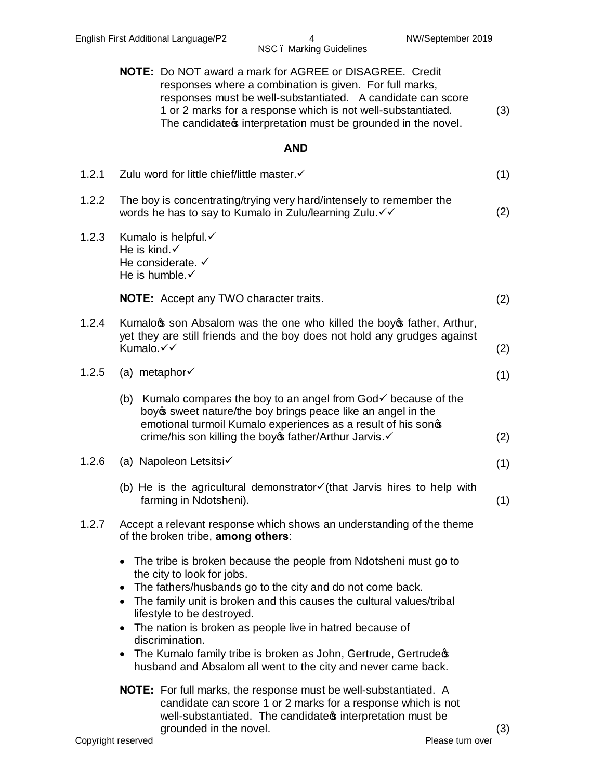**NOTE:** Do NOT award a mark for AGREE or DISAGREE. Credit responses where a combination is given. For full marks, responses must be well-substantiated. A candidate can score 1 or 2 marks for a response which is not well-substantiated. The candidate interpretation must be grounded in the novel. (3) **AND** 1.2.1 Zulu word for little chief/little master. $\checkmark$  (1) 1.2.2 The boy is concentrating/trying very hard/intensely to remember the words he has to say to Kumalo in Zulu/learning Zulu. $\checkmark\checkmark$  (2) 1.2.3 Kumalo is helpful. $\checkmark$ He is kind. $\checkmark$ He considerate.  $\checkmark$ He is humble. $\checkmark$ **NOTE:** Accept any TWO character traits. (2) 1.2.4 Kumalogs son Absalom was the one who killed the boygs father, Arthur, yet they are still friends and the boy does not hold any grudges against Kumalo. $\checkmark\qquad$  (2)  $1.2.5$  (a) metaphor $\checkmark$  (1) (b) Kumalo compares the boy to an angel from  $God<sub>o</sub>$  because of the boy weet nature/the boy brings peace like an angel in the emotional turmoil Kumalo experiences as a result of his sonos crime/his son killing the boyes father/Arthur Jarvis. $\checkmark$  (2) 1.2.6 (a) Napoleon Letsitsi $\checkmark$  (1) (b) He is the agricultural demonstrator $\checkmark$  (that Jarvis hires to help with farming in Ndotsheni). (1) 1.2.7 Accept a relevant response which shows an understanding of the theme of the broken tribe, **among others**: • The tribe is broken because the people from Ndotsheni must go to the city to look for jobs. · The fathers/husbands go to the city and do not come back. • The family unit is broken and this causes the cultural values/tribal lifestyle to be destroyed. · The nation is broken as people live in hatred because of discrimination. • The Kumalo family tribe is broken as John, Gertrude, Gertrude  $\phi$ husband and Absalom all went to the city and never came back. **NOTE:** For full marks, the response must be well-substantiated. A candidate can score 1 or 2 marks for a response which is not well-substantiated. The candidates interpretation must be

grounded in the novel. (3)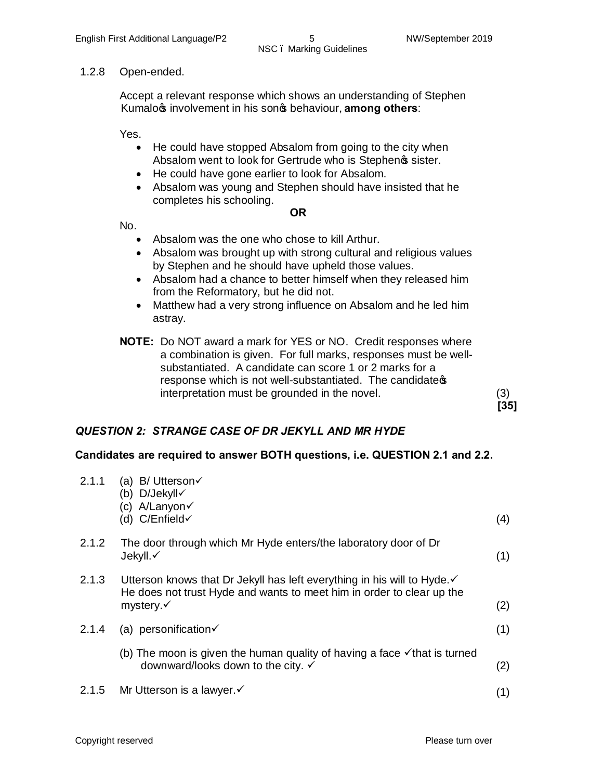#### 1.2.8 Open-ended.

Accept a relevant response which shows an understanding of Stephen Kumalo *s* involvement in his son *s* behaviour, **among others**:

Yes.

- He could have stopped Absalom from going to the city when Absalom went to look for Gertrude who is Stephenes sister.
- · He could have gone earlier to look for Absalom.
- · Absalom was young and Stephen should have insisted that he completes his schooling.

#### **OR**

No.

- · Absalom was the one who chose to kill Arthur.
- · Absalom was brought up with strong cultural and religious values by Stephen and he should have upheld those values.
- · Absalom had a chance to better himself when they released him from the Reformatory, but he did not.
- Matthew had a very strong influence on Absalom and he led him astray.
- **NOTE:** Do NOT award a mark for YES or NO. Credit responses where a combination is given. For full marks, responses must be wellsubstantiated. A candidate can score 1 or 2 marks for a response which is not well-substantiated. The candidates interpretation must be grounded in the novel. (3)

## *QUESTION 2: STRANGE CASE OF DR JEKYLL AND MR HYDE*

#### **Candidates are required to answer BOTH questions, i.e. QUESTION 2.1 and 2.2.**

| 2.1.1 | (a) B/Utterson $\checkmark$<br>(b) D/Jekyll√<br>(c) A/Lanyon√<br>(d) C/Enfield√                                                                                            | (4) |
|-------|----------------------------------------------------------------------------------------------------------------------------------------------------------------------------|-----|
| 2.1.2 | The door through which Mr Hyde enters/the laboratory door of Dr<br>Jekyll.√                                                                                                | (1) |
| 2.1.3 | Utterson knows that Dr Jekyll has left everything in his will to Hyde. ✓<br>He does not trust Hyde and wants to meet him in order to clear up the<br>mystery. $\checkmark$ | (2) |
| 2.1.4 | (a) personification $\checkmark$                                                                                                                                           | (1) |
|       | (b) The moon is given the human quality of having a face $\checkmark$ that is turned<br>downward/looks down to the city. ✓                                                 | (2) |
| 2.1.5 | Mr Utterson is a lawyer.√                                                                                                                                                  | (1) |
|       |                                                                                                                                                                            |     |

**[35]**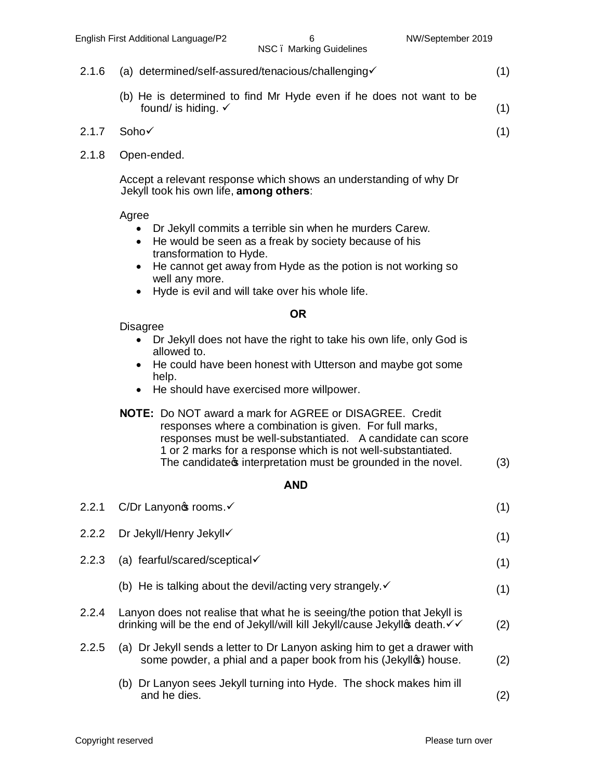- 2.1.6 (a) determined/self-assured/tenacious/challenging  $(1)$ 
	- (b) He is determined to find Mr Hyde even if he does not want to be found/ is hiding.  $\checkmark$  (1)
- $2.1.7$  Soho $\checkmark$  (1)
- 2.1.8 Open-ended.

Accept a relevant response which shows an understanding of why Dr Jekyll took his own life, **among others**:

Agree

- · Dr Jekyll commits a terrible sin when he murders Carew.
- · He would be seen as a freak by society because of his transformation to Hyde.
- He cannot get away from Hyde as the potion is not working so well any more.
- · Hyde is evil and will take over his whole life.

#### **OR**

Disagree

- Dr Jekyll does not have the right to take his own life, only God is allowed to.
- He could have been honest with Utterson and maybe got some help.
- · He should have exercised more willpower.
- **NOTE:** Do NOT award a mark for AGREE or DISAGREE. Credit responses where a combination is given. For full marks, responses must be well-substantiated. A candidate can score 1 or 2 marks for a response which is not well-substantiated. The candidate  $\mathfrak s$  interpretation must be grounded in the novel.  $(3)$

#### **AND**

| 2.2.1 | C/Dr Lanyonos rooms.√                                                                                                                                  | (1) |
|-------|--------------------------------------------------------------------------------------------------------------------------------------------------------|-----|
| 2.2.2 | Dr Jekyll/Henry Jekyll√                                                                                                                                | (1) |
| 2.2.3 | (a) fearful/scared/sceptical $\checkmark$                                                                                                              | (1) |
|       | (b) He is talking about the devil/acting very strangely. $\checkmark$                                                                                  | (1) |
| 2.2.4 | Lanyon does not realise that what he is seeing/the potion that Jekyll is<br>drinking will be the end of Jekyll/will kill Jekyll/cause Jekyll⊕ death. V | (2) |
| 2.2.5 | (a) Dr Jekyll sends a letter to Dr Lanyon asking him to get a drawer with<br>some powder, a phial and a paper book from his (Jekyllos) house.          | (2) |
|       | (b) Dr Lanyon sees Jekyll turning into Hyde. The shock makes him ill<br>and he dies.                                                                   | (2) |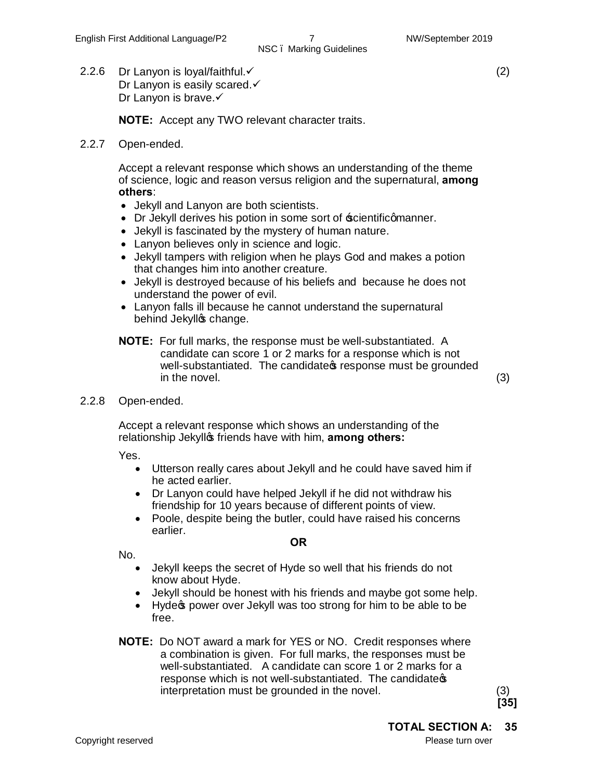(2)

2.2.6 Dr Lanyon is loyal/faithful. $\checkmark$ Dr Lanyon is easily scared. $\checkmark$ Dr Lanyon is brave.√

**NOTE:** Accept any TWO relevant character traits.

2.2.7 Open-ended.

Accept a relevant response which shows an understanding of the theme of science, logic and reason versus religion and the supernatural, **among others**:

- · Jekyll and Lanyon are both scientists.
- Dr Jekyll derives his potion in some sort of  $\frac{1}{2}$  scientificamanner.
- · Jekyll is fascinated by the mystery of human nature.
- · Lanyon believes only in science and logic.
- · Jekyll tampers with religion when he plays God and makes a potion that changes him into another creature.
- · Jekyll is destroyed because of his beliefs and because he does not understand the power of evil.
- · Lanyon falls ill because he cannot understand the supernatural behind Jekyllos change.
- **NOTE:** For full marks, the response must be well-substantiated. A candidate can score 1 or 2 marks for a response which is not well-substantiated. The candidate is response must be grounded in the novel. (3)

2.2.8 Open-ended.

Accept a relevant response which shows an understanding of the relationship Jekyllos friends have with him, **among others:** 

Yes.

- · Utterson really cares about Jekyll and he could have saved him if he acted earlier.
- · Dr Lanyon could have helped Jekyll if he did not withdraw his friendship for 10 years because of different points of view.
- · Poole, despite being the butler, could have raised his concerns earlier. **OR**

No.

- · Jekyll keeps the secret of Hyde so well that his friends do not know about Hyde.
- · Jekyll should be honest with his friends and maybe got some help.
- · Hyde's power over Jekyll was too strong for him to be able to be free.
- **NOTE:** Do NOT award a mark for YES or NO. Credit responses where a combination is given. For full marks, the responses must be well-substantiated. A candidate can score 1 or 2 marks for a response which is not well-substantiated. The candidate  $\infty$ interpretation must be grounded in the novel. (3)

**[35]**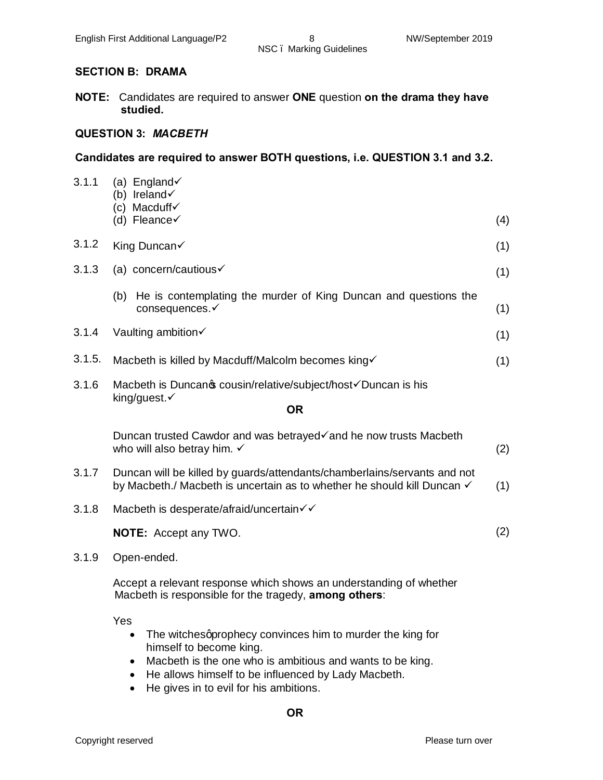#### **SECTION B: DRAMA**

**NOTE:** Candidates are required to answer **ONE** question **on the drama they have studied.**

#### **QUESTION 3:** *MACBETH*

#### **Candidates are required to answer BOTH questions, i.e. QUESTION 3.1 and 3.2.**

| 3.1.1  | (a) England $\checkmark$<br>(b) Ireland $\checkmark$<br>(c) Macduff $\checkmark$<br>(d) Fleance $\checkmark$                                                                                                                | (4) |
|--------|-----------------------------------------------------------------------------------------------------------------------------------------------------------------------------------------------------------------------------|-----|
| 3.1.2  | King Duncan√                                                                                                                                                                                                                | (1) |
| 3.1.3  | (a) concern/cautious $\checkmark$                                                                                                                                                                                           | (1) |
|        | (b) He is contemplating the murder of King Duncan and questions the<br>consequences.√                                                                                                                                       | (1) |
| 3.1.4  | Vaulting ambition√                                                                                                                                                                                                          | (1) |
| 3.1.5. | Macbeth is killed by Macduff/Malcolm becomes king√                                                                                                                                                                          | (1) |
| 3.1.6  | Macbeth is Duncanos cousin/relative/subject/host√Duncan is his<br>king/guest.√                                                                                                                                              |     |
|        | <b>OR</b>                                                                                                                                                                                                                   |     |
|        | Duncan trusted Cawdor and was betrayed√and he now trusts Macbeth<br>who will also betray him. ✓                                                                                                                             | (2) |
| 3.1.7  | Duncan will be killed by guards/attendants/chamberlains/servants and not<br>by Macbeth./ Macbeth is uncertain as to whether he should kill Duncan √                                                                         | (1) |
| 3.1.8  | Macbeth is desperate/afraid/uncertain√√                                                                                                                                                                                     |     |
|        | <b>NOTE:</b> Accept any TWO.                                                                                                                                                                                                | (2) |
| 3.1.9  | Open-ended.                                                                                                                                                                                                                 |     |
|        | Accept a relevant response which shows an understanding of whether<br>Macbeth is responsible for the tragedy, among others:                                                                                                 |     |
|        | Yes<br>The witchesgprophecy convinces him to murder the king for<br>$\bullet$<br>himself to become king.<br>the contract of the contract of the contract of the contract of the contract of the contract of the contract of |     |
|        |                                                                                                                                                                                                                             |     |

- · Macbeth is the one who is ambitious and wants to be king.
- · He allows himself to be influenced by Lady Macbeth.
- · He gives in to evil for his ambitions.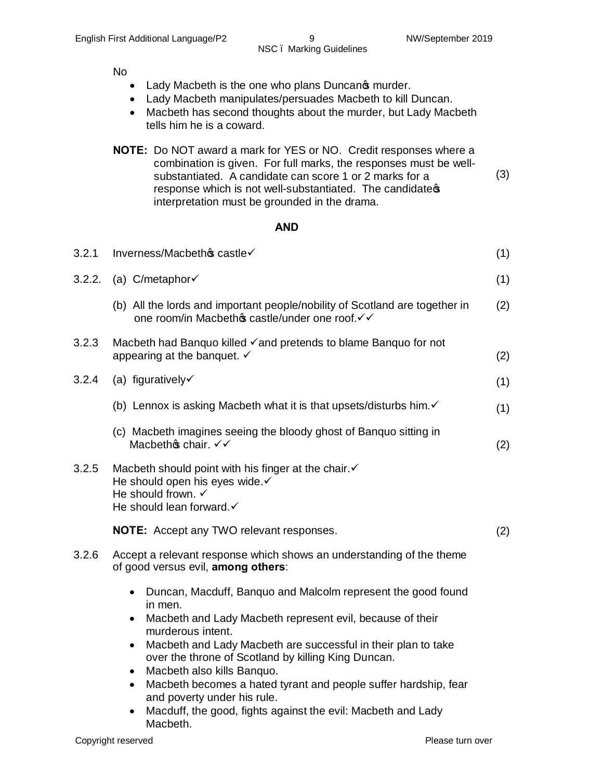No

- Lady Macbeth is the one who plans Duncan  $\phi$  murder.
- · Lady Macbeth manipulates/persuades Macbeth to kill Duncan.
- · Macbeth has second thoughts about the murder, but Lady Macbeth tells him he is a coward.
- **NOTE:** Do NOT award a mark for YES or NO. Credit responses where a combination is given. For full marks, the responses must be wellsubstantiated. A candidate can score 1 or 2 marks for a response which is not well-substantiated. The candidate of interpretation must be grounded in the drama. (3)

#### **AND**

| 3.2.1  | Inverness/Macbethos castle√                                                                                                                                                                                                                                                                                                                                                                                                                                                                                                                        | (1) |
|--------|----------------------------------------------------------------------------------------------------------------------------------------------------------------------------------------------------------------------------------------------------------------------------------------------------------------------------------------------------------------------------------------------------------------------------------------------------------------------------------------------------------------------------------------------------|-----|
| 3.2.2. | (a) $C/metaphor\checkmark$                                                                                                                                                                                                                                                                                                                                                                                                                                                                                                                         | (1) |
|        | (b) All the lords and important people/nobility of Scotland are together in<br>one room/in Macbethos castle/under one roof. V V                                                                                                                                                                                                                                                                                                                                                                                                                    | (2) |
| 3.2.3  | Macbeth had Banquo killed √and pretends to blame Banquo for not<br>appearing at the banquet. $\checkmark$                                                                                                                                                                                                                                                                                                                                                                                                                                          | (2) |
| 3.2.4  | (a) figuratively $\checkmark$                                                                                                                                                                                                                                                                                                                                                                                                                                                                                                                      | (1) |
|        | (b) Lennox is asking Macbeth what it is that upsets/disturbs him. $\checkmark$                                                                                                                                                                                                                                                                                                                                                                                                                                                                     | (1) |
|        | (c) Macbeth imagines seeing the bloody ghost of Banquo sitting in<br>Macbethos chair. $\checkmark\checkmark$                                                                                                                                                                                                                                                                                                                                                                                                                                       | (2) |
| 3.2.5  | Macbeth should point with his finger at the chair. v<br>He should open his eyes wide.√<br>He should frown. $\checkmark$<br>He should lean forward.√                                                                                                                                                                                                                                                                                                                                                                                                |     |
|        | <b>NOTE:</b> Accept any TWO relevant responses.                                                                                                                                                                                                                                                                                                                                                                                                                                                                                                    | (2) |
| 3.2.6  | Accept a relevant response which shows an understanding of the theme<br>of good versus evil, among others:                                                                                                                                                                                                                                                                                                                                                                                                                                         |     |
|        | Duncan, Macduff, Banquo and Malcolm represent the good found<br>in men.<br>Macbeth and Lady Macbeth represent evil, because of their<br>$\bullet$<br>murderous intent.<br>Macbeth and Lady Macbeth are successful in their plan to take<br>$\bullet$<br>over the throne of Scotland by killing King Duncan.<br>Macbeth also kills Banquo.<br>$\bullet$<br>Macbeth becomes a hated tyrant and people suffer hardship, fear<br>$\bullet$<br>and poverty under his rule.<br>Macduff, the good, fights against the evil: Macbeth and Lady<br>$\bullet$ |     |

Macbeth.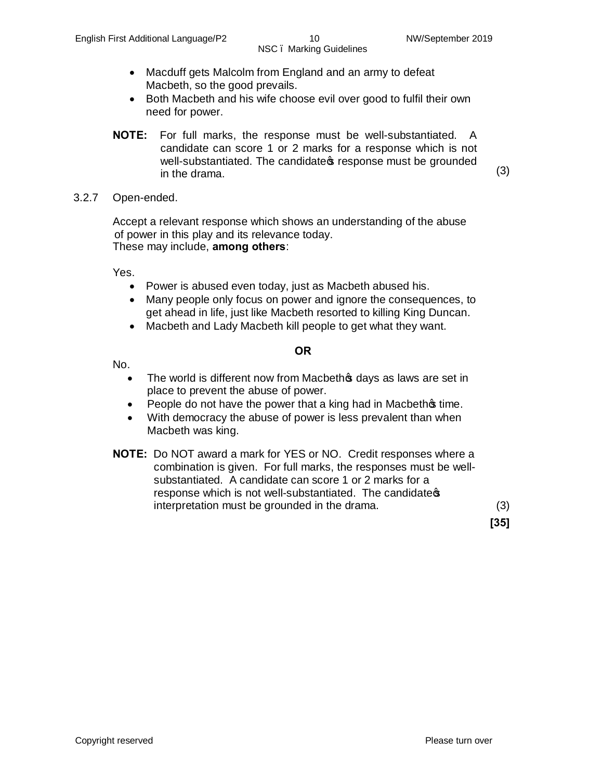- · Macduff gets Malcolm from England and an army to defeat Macbeth, so the good prevails.
- · Both Macbeth and his wife choose evil over good to fulfil their own need for power.
- **NOTE:** For full marks, the response must be well-substantiated. A candidate can score 1 or 2 marks for a response which is not well-substantiated. The candidates response must be grounded  $\frac{1}{2}$  in the drama. (3)
- 3.2.7 Open-ended.

Accept a relevant response which shows an understanding of the abuse of power in this play and its relevance today. These may include, **among others**:

Yes.

- · Power is abused even today, just as Macbeth abused his.
- · Many people only focus on power and ignore the consequences, to get ahead in life, just like Macbeth resorted to killing King Duncan.
- · Macbeth and Lady Macbeth kill people to get what they want.

#### **OR**

No.

- The world is different now from Macbethos days as laws are set in place to prevent the abuse of power.
- People do not have the power that a king had in Macbethos time.
- With democracy the abuse of power is less prevalent than when Macbeth was king.
- **NOTE:** Do NOT award a mark for YES or NO. Credit responses where a combination is given. For full marks, the responses must be wellsubstantiated. A candidate can score 1 or 2 marks for a response which is not well-substantiated. The candidates interpretation must be grounded in the drama. (3)

**[35]**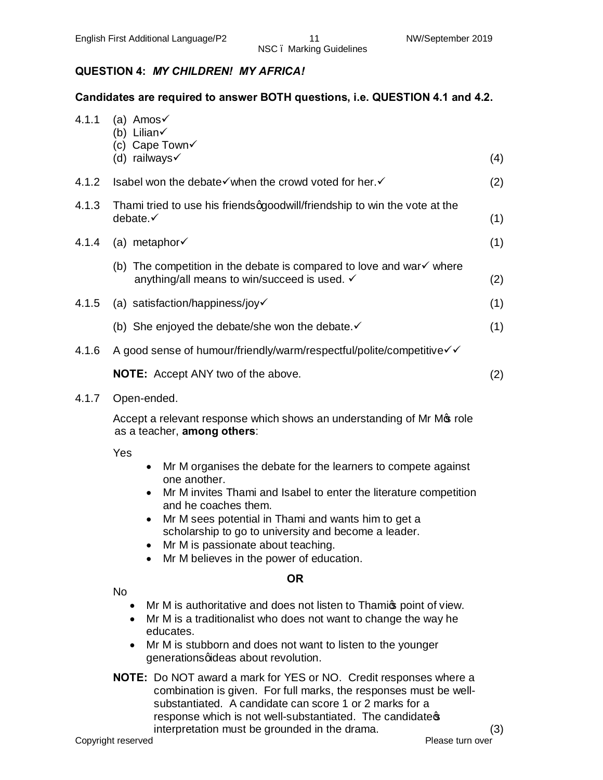#### **QUESTION 4:** *MY CHILDREN! MY AFRICA!*

#### **Candidates are required to answer BOTH questions, i.e. QUESTION 4.1 and 4.2.**

| 4.1.1 | (a) Amos $\checkmark$<br>(b) Lilian $\checkmark$<br>(c) Cape Town√                                                                                                                                                                                                                                                                                                                                           |     |
|-------|--------------------------------------------------------------------------------------------------------------------------------------------------------------------------------------------------------------------------------------------------------------------------------------------------------------------------------------------------------------------------------------------------------------|-----|
|       | (d) railways $\checkmark$                                                                                                                                                                                                                                                                                                                                                                                    | (4) |
| 4.1.2 | Isabel won the debate√when the crowd voted for her.                                                                                                                                                                                                                                                                                                                                                          | (2) |
| 4.1.3 | Thami tried to use his friendsqgoodwill/friendship to win the vote at the<br>debate.√                                                                                                                                                                                                                                                                                                                        | (1) |
| 4.1.4 | (a) metaphor $\checkmark$                                                                                                                                                                                                                                                                                                                                                                                    | (1) |
|       | (b) The competition in the debate is compared to love and war $\checkmark$ where<br>anything/all means to win/succeed is used. ✓                                                                                                                                                                                                                                                                             | (2) |
| 4.1.5 | (a) satisfaction/happiness/joy√                                                                                                                                                                                                                                                                                                                                                                              | (1) |
|       | (b) She enjoyed the debate/she won the debate. $\checkmark$                                                                                                                                                                                                                                                                                                                                                  | (1) |
| 4.1.6 | A good sense of humour/friendly/warm/respectful/polite/competitive√√                                                                                                                                                                                                                                                                                                                                         |     |
|       | <b>NOTE:</b> Accept ANY two of the above.                                                                                                                                                                                                                                                                                                                                                                    | (2) |
| 4.1.7 | Open-ended.                                                                                                                                                                                                                                                                                                                                                                                                  |     |
|       | Accept a relevant response which shows an understanding of Mr Mos role<br>as a teacher, among others:                                                                                                                                                                                                                                                                                                        |     |
|       | Yes<br>Mr M organises the debate for the learners to compete against<br>$\bullet$<br>one another.<br>Mr M invites Thami and Isabel to enter the literature competition<br>and he coaches them.<br>Mr M sees potential in Thami and wants him to get a<br>scholarship to go to university and become a leader.<br>Mr M is passionate about teaching.<br>Mr M believes in the power of education.<br>$\bullet$ |     |
|       | <b>OR</b>                                                                                                                                                                                                                                                                                                                                                                                                    |     |

No

- Mr M is authoritative and does not listen to Thamic point of view.
- · Mr M is a traditionalist who does not want to change the way he educates.
- Mr M is stubborn and does not want to listen to the younger generations qideas about revolution.
- **NOTE:** Do NOT award a mark for YES or NO. Credit responses where a combination is given. For full marks, the responses must be wellsubstantiated. A candidate can score 1 or 2 marks for a response which is not well-substantiated. The candidates interpretation must be grounded in the drama. (3)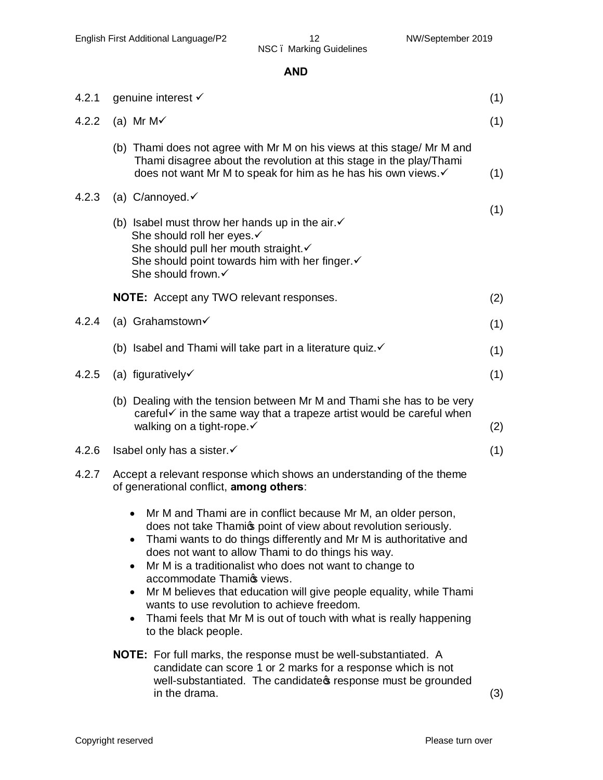#### **AND**

| 4.2.1 | genuine interest √                                                                                                                                                                                                                                                                                                                                                                                                                                                                                                                                                                                 | (1) |
|-------|----------------------------------------------------------------------------------------------------------------------------------------------------------------------------------------------------------------------------------------------------------------------------------------------------------------------------------------------------------------------------------------------------------------------------------------------------------------------------------------------------------------------------------------------------------------------------------------------------|-----|
| 4.2.2 | (a) Mr M $\checkmark$                                                                                                                                                                                                                                                                                                                                                                                                                                                                                                                                                                              | (1) |
|       | (b) Thami does not agree with Mr M on his views at this stage/ Mr M and<br>Thami disagree about the revolution at this stage in the play/Thami<br>does not want Mr M to speak for him as he has his own views. v                                                                                                                                                                                                                                                                                                                                                                                   | (1) |
| 4.2.3 | (a) C/annoyed. $\checkmark$                                                                                                                                                                                                                                                                                                                                                                                                                                                                                                                                                                        |     |
|       | (b) Isabel must throw her hands up in the air. $\checkmark$<br>She should roll her eyes.√<br>She should pull her mouth straight. v<br>She should point towards him with her finger. v<br>She should frown.√                                                                                                                                                                                                                                                                                                                                                                                        | (1) |
|       | <b>NOTE:</b> Accept any TWO relevant responses.                                                                                                                                                                                                                                                                                                                                                                                                                                                                                                                                                    | (2) |
| 4.2.4 | (a) Grahamstown $\checkmark$                                                                                                                                                                                                                                                                                                                                                                                                                                                                                                                                                                       | (1) |
|       | (b) Isabel and Thami will take part in a literature quiz. $\checkmark$                                                                                                                                                                                                                                                                                                                                                                                                                                                                                                                             | (1) |
| 4.2.5 | (a) figuratively $\checkmark$                                                                                                                                                                                                                                                                                                                                                                                                                                                                                                                                                                      | (1) |
|       | (b) Dealing with the tension between Mr M and Thami she has to be very<br>careful√ in the same way that a trapeze artist would be careful when<br>walking on a tight-rope.√                                                                                                                                                                                                                                                                                                                                                                                                                        | (2) |
| 4.2.6 | Isabel only has a sister. ✓                                                                                                                                                                                                                                                                                                                                                                                                                                                                                                                                                                        | (1) |
| 4.2.7 | Accept a relevant response which shows an understanding of the theme<br>of generational conflict, among others:                                                                                                                                                                                                                                                                                                                                                                                                                                                                                    |     |
|       | Mr M and Thami are in conflict because Mr M, an older person,<br>does not take Thamic point of view about revolution seriously.<br>Thami wants to do things differently and Mr M is authoritative and<br>does not want to allow Thami to do things his way.<br>Mr M is a traditionalist who does not want to change to<br>$\bullet$<br>accommodate Thamic views.<br>Mr M believes that education will give people equality, while Thami<br>$\bullet$<br>wants to use revolution to achieve freedom.<br>Thami feels that Mr M is out of touch with what is really happening<br>to the black people. |     |
|       | <b>NOTE:</b> For full marks, the response must be well-substantiated. A<br>candidate can score 1 or 2 marks for a response which is not<br>well-substantiated. The candidate presponse must be grounded<br>in the drama.                                                                                                                                                                                                                                                                                                                                                                           | (3) |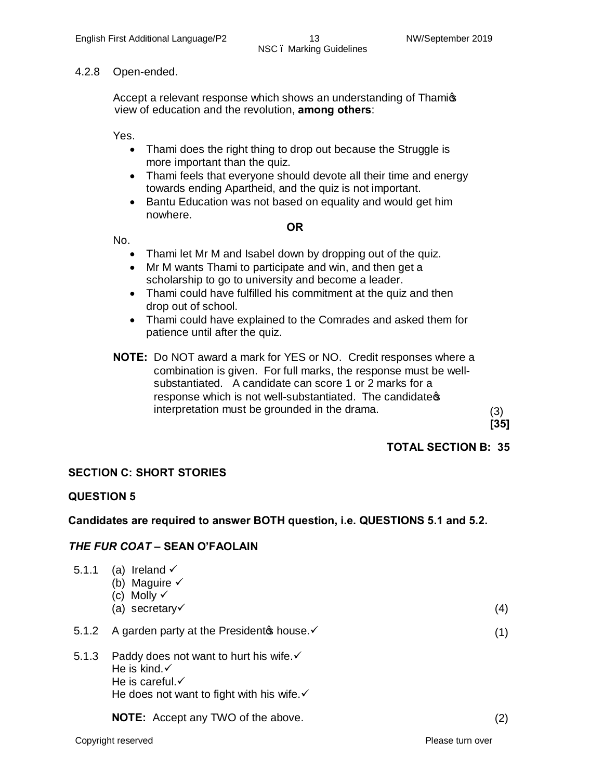#### 4.2.8 Open-ended.

Accept a relevant response which shows an understanding of Thamios view of education and the revolution, **among others**:

Yes.

- · Thami does the right thing to drop out because the Struggle is more important than the quiz.
- Thami feels that everyone should devote all their time and energy towards ending Apartheid, and the quiz is not important.
- · Bantu Education was not based on equality and would get him nowhere.

No.

#### **OR**

- Thami let Mr M and Isabel down by dropping out of the quiz.
- Mr M wants Thami to participate and win, and then get a scholarship to go to university and become a leader.
- Thami could have fulfilled his commitment at the quiz and then drop out of school.
- · Thami could have explained to the Comrades and asked them for patience until after the quiz.
- **NOTE:** Do NOT award a mark for YES or NO. Credit responses where a combination is given. For full marks, the response must be wellsubstantiated. A candidate can score 1 or 2 marks for a response which is not well-substantiated. The candidates interpretation must be grounded in the drama. (3)

**[35]**

#### **TOTAL SECTION B: 35**

#### **SECTION C: SHORT STORIES**

#### **QUESTION 5**

#### **Candidates are required to answer BOTH question, i.e. QUESTIONS 5.1 and 5.2.**

#### *THE FUR COAT* **– SEAN O'FAOLAIN**

| 5.1.1 | (a) Ireland $\checkmark$<br>(b) Maguire $\checkmark$<br>(c) Molly $\checkmark$<br>(a) secretary $\checkmark$  | (4) |
|-------|---------------------------------------------------------------------------------------------------------------|-----|
| 5.1.2 | A garden party at the President nouse. ✓                                                                      | (1) |
| 5.1.3 | Paddy does not want to hurt his wife. $\checkmark$<br>He is kind. $\checkmark$<br>He is careful. $\checkmark$ |     |

He does not want to fight with his wife. $\checkmark$ 

**NOTE:** Accept any TWO of the above. (2) (2)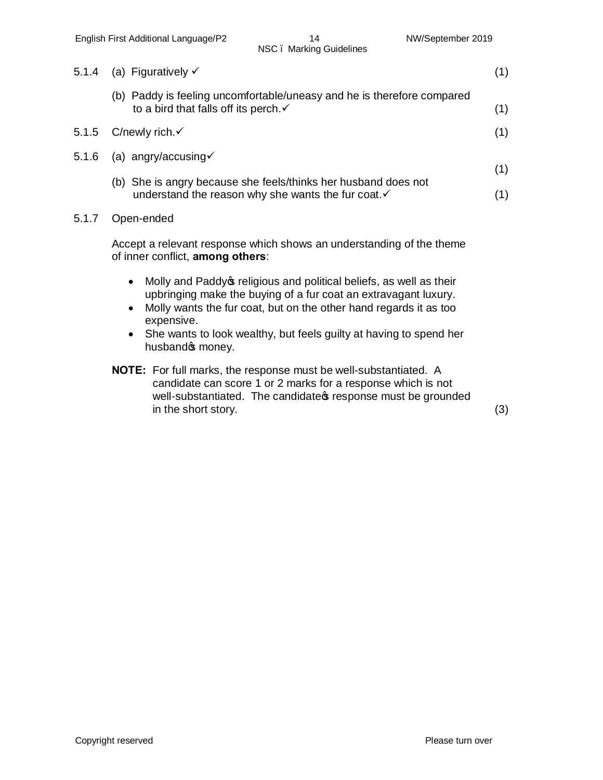| 5.1.4 | (a) Figuratively $\checkmark$                                                                                              | (1) |
|-------|----------------------------------------------------------------------------------------------------------------------------|-----|
|       | (b) Paddy is feeling uncomfortable/uneasy and he is therefore compared<br>to a bird that falls off its perch. $\checkmark$ | (1) |
| 5.1.5 | C/newly rich. $\checkmark$                                                                                                 | (1) |
| 5.1.6 | (a) angry/accusing $\checkmark$                                                                                            |     |
|       | (b) She is angry because she feels/thinks her husband does not                                                             | (1) |
|       | understand the reason why she wants the fur coat.                                                                          | (1) |
| 5.1.7 | Open-ended                                                                                                                 |     |

Accept a relevant response which shows an understanding of the theme of inner conflict, **among others**:

- Molly and Paddy of religious and political beliefs, as well as their upbringing make the buying of a fur coat an extravagant luxury.
- · Molly wants the fur coat, but on the other hand regards it as too expensive.
- She wants to look wealthy, but feels guilty at having to spend her husband<sup>®</sup> money.
- **NOTE:** For full marks, the response must be well-substantiated. A candidate can score 1 or 2 marks for a response which is not well-substantiated. The candidate is response must be grounded in the short story. (3)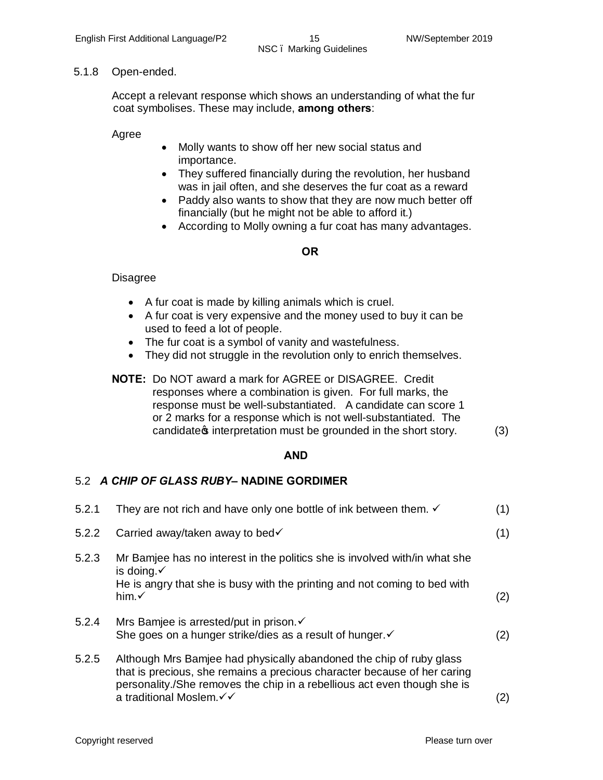#### 5.1.8 Open-ended.

Accept a relevant response which shows an understanding of what the fur coat symbolises. These may include, **among others**:

Agree

- · Molly wants to show off her new social status and importance.
- · They suffered financially during the revolution, her husband was in jail often, and she deserves the fur coat as a reward
- Paddy also wants to show that they are now much better off financially (but he might not be able to afford it.)
- · According to Molly owning a fur coat has many advantages.

#### **OR**

#### **Disagree**

- · A fur coat is made by killing animals which is cruel.
- · A fur coat is very expensive and the money used to buy it can be used to feed a lot of people.
- The fur coat is a symbol of vanity and wastefulness.
- They did not struggle in the revolution only to enrich themselves.
- **NOTE:** Do NOT award a mark for AGREE or DISAGREE. Credit responses where a combination is given. For full marks, the response must be well-substantiated. A candidate can score 1 or 2 marks for a response which is not well-substantiated. The candidate  $\phi$  interpretation must be grounded in the short story. (3)

#### **AND**

#### 5.2*A CHIP OF GLASS RUBY***– NADINE GORDIMER**

| 5.2.1 | They are not rich and have only one bottle of ink between them. $\checkmark$                                                                                                                                                                             | (1) |
|-------|----------------------------------------------------------------------------------------------------------------------------------------------------------------------------------------------------------------------------------------------------------|-----|
| 5.2.2 | Carried away/taken away to bed√                                                                                                                                                                                                                          | (1) |
| 5.2.3 | Mr Bamjee has no interest in the politics she is involved with/in what she<br>is doing. $\checkmark$<br>He is angry that she is busy with the printing and not coming to bed with<br>him. $\checkmark$                                                   | (2) |
| 5.2.4 | Mrs Bamjee is arrested/put in prison. <del>✓</del><br>She goes on a hunger strike/dies as a result of hunger. v                                                                                                                                          | (2) |
| 5.2.5 | Although Mrs Bamjee had physically abandoned the chip of ruby glass<br>that is precious, she remains a precious character because of her caring<br>personality./She removes the chip in a rebellious act even though she is<br>a traditional Moslem. V V | (2) |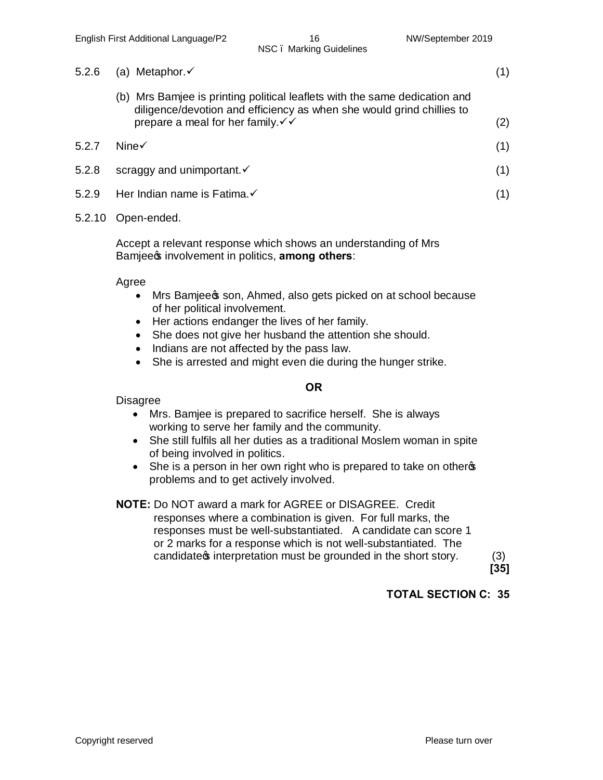| 5.2.6 (a) Metaphor. $\checkmark$                                                                                                                                                                             | (1) |
|--------------------------------------------------------------------------------------------------------------------------------------------------------------------------------------------------------------|-----|
| (b) Mrs Bamjee is printing political leaflets with the same dedication and<br>diligence/devotion and efficiency as when she would grind chillies to<br>prepare a meal for her family. $\checkmark\checkmark$ | (2) |

| 5.2.7 Nine $\checkmark$         |  |
|---------------------------------|--|
| 5.2.8 scraggy and unimportant.√ |  |

5.2.9 Her Indian name is Fatima. $\checkmark$  (1)

#### 5.2.10 Open-ended.

Accept a relevant response which shows an understanding of Mrs Bamjee<sub>s</sub> involvement in politics, among others:

Agree

- Mrs Bamjee \$ son, Ahmed, also gets picked on at school because of her political involvement.
- · Her actions endanger the lives of her family.
- She does not give her husband the attention she should.
- · Indians are not affected by the pass law.
- She is arrested and might even die during the hunger strike.

#### **OR**

Disagree

- · Mrs. Bamjee is prepared to sacrifice herself. She is always working to serve her family and the community.
- · She still fulfils all her duties as a traditional Moslem woman in spite of being involved in politics.
- She is a person in her own right who is prepared to take on otherge problems and to get actively involved.
- **NOTE:** Do NOT award a mark for AGREE or DISAGREE. Credit responses where a combination is given. For full marks, the responses must be well-substantiated. A candidate can score 1 or 2 marks for a response which is not well-substantiated. The candidate  $\phi$  interpretation must be grounded in the short story.  $(3)$

**[35]**

### **TOTAL SECTION C: 35**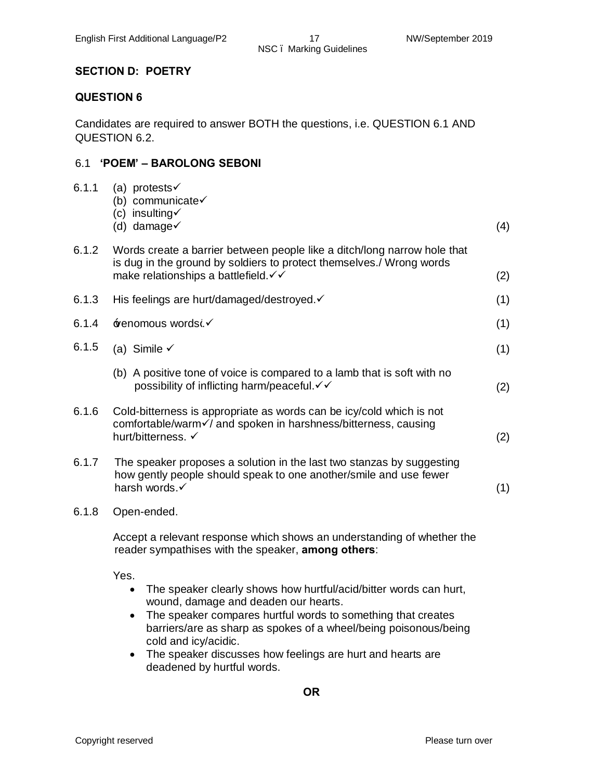#### **SECTION D: POETRY**

#### **QUESTION 6**

Candidates are required to answer BOTH the questions, i.e. QUESTION 6.1 AND QUESTION 6.2.

#### 6.1 **'POEM' – BAROLONG SEBONI**

| 6.1.1 | (a) protests $\checkmark$<br>(b) communicate $\checkmark$<br>(c) insulting $\checkmark$<br>(d) damage $\checkmark$                                                                        | (4) |
|-------|-------------------------------------------------------------------------------------------------------------------------------------------------------------------------------------------|-----|
| 6.1.2 | Words create a barrier between people like a ditch/long narrow hole that<br>is dug in the ground by soldiers to protect themselves./ Wrong words<br>make relationships a battlefield. √ ✓ | (2) |
| 6.1.3 | His feelings are hurt/damaged/destroyed. v                                                                                                                                                | (1) |
| 6.1.4 | ±enomous wordsc.                                                                                                                                                                          | (1) |
| 6.1.5 | (a) Simile $\checkmark$                                                                                                                                                                   | (1) |
|       | (b) A positive tone of voice is compared to a lamb that is soft with no<br>possibility of inflicting harm/peaceful. V V                                                                   | (2) |
| 6.1.6 | Cold-bitterness is appropriate as words can be icy/cold which is not<br>comfortable/warm√/ and spoken in harshness/bitterness, causing<br>hurt/bitterness. √                              | (2) |
| 6.1.7 | The speaker proposes a solution in the last two stanzas by suggesting<br>how gently people should speak to one another/smile and use fewer<br>harsh words.                                | (1) |
|       | $0.40$ $0.55$ $1.1$                                                                                                                                                                       |     |

6.1.8 Open-ended.

Accept a relevant response which shows an understanding of whether the reader sympathises with the speaker, **among others**:

Yes.

- · The speaker clearly shows how hurtful/acid/bitter words can hurt, wound, damage and deaden our hearts.
- The speaker compares hurtful words to something that creates barriers/are as sharp as spokes of a wheel/being poisonous/being cold and icy/acidic.
- · The speaker discusses how feelings are hurt and hearts are deadened by hurtful words.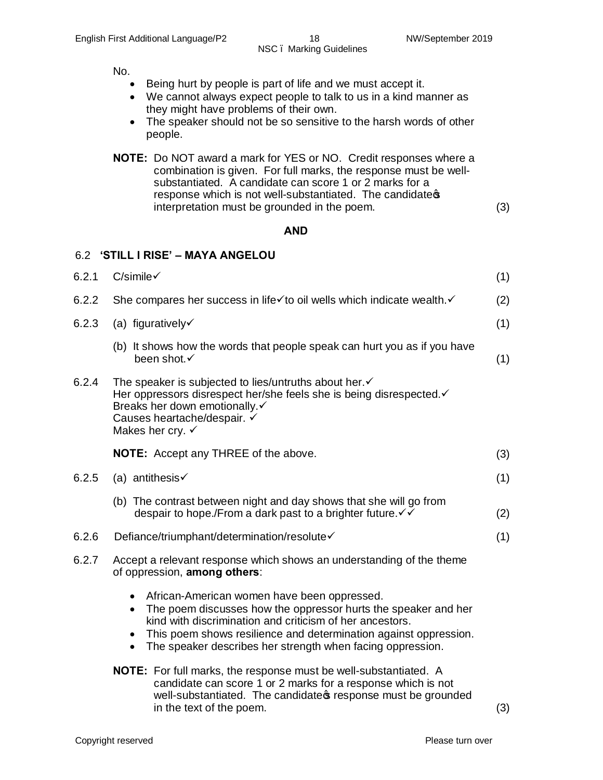No.

- · Being hurt by people is part of life and we must accept it.
- · We cannot always expect people to talk to us in a kind manner as they might have problems of their own.
- The speaker should not be so sensitive to the harsh words of other people.
- **NOTE:** Do NOT award a mark for YES or NO. Credit responses where a combination is given. For full marks, the response must be wellsubstantiated. A candidate can score 1 or 2 marks for a response which is not well-substantiated. The candidates interpretation must be grounded in the poem. (3)

#### **AND**

#### 6.2 **'STILL I RISE' – MAYA ANGELOU**

| 6.2.1 | $C/simile\checkmark$                                                                                                                                                                                                                                                                                                                               |     |  |  |  |  |
|-------|----------------------------------------------------------------------------------------------------------------------------------------------------------------------------------------------------------------------------------------------------------------------------------------------------------------------------------------------------|-----|--|--|--|--|
| 6.2.2 | She compares her success in life√to oil wells which indicate wealth.                                                                                                                                                                                                                                                                               | (2) |  |  |  |  |
| 6.2.3 | (a) figuratively $\checkmark$                                                                                                                                                                                                                                                                                                                      | (1) |  |  |  |  |
|       | (b) It shows how the words that people speak can hurt you as if you have<br>been shot.√                                                                                                                                                                                                                                                            | (1) |  |  |  |  |
| 6.2.4 | The speaker is subjected to lies/untruths about her.√<br>Her oppressors disrespect her/she feels she is being disrespected.<br>Breaks her down emotionally.√<br>Causes heartache/despair. ✓<br>Makes her cry. $\checkmark$                                                                                                                         |     |  |  |  |  |
|       | <b>NOTE:</b> Accept any THREE of the above.                                                                                                                                                                                                                                                                                                        | (3) |  |  |  |  |
| 6.2.5 | (a) antithesis $\checkmark$                                                                                                                                                                                                                                                                                                                        | (1) |  |  |  |  |
|       | (b) The contrast between night and day shows that she will go from<br>despair to hope./From a dark past to a brighter future. V V                                                                                                                                                                                                                  | (2) |  |  |  |  |
| 6.2.6 | Defiance/triumphant/determination/resolute√                                                                                                                                                                                                                                                                                                        | (1) |  |  |  |  |
| 6.2.7 | Accept a relevant response which shows an understanding of the theme<br>of oppression, among others:                                                                                                                                                                                                                                               |     |  |  |  |  |
|       | African-American women have been oppressed.<br>$\bullet$<br>The poem discusses how the oppressor hurts the speaker and her<br>$\bullet$<br>kind with discrimination and criticism of her ancestors.<br>This poem shows resilience and determination against oppression.<br>The speaker describes her strength when facing oppression.<br>$\bullet$ |     |  |  |  |  |
|       | <b>NOTE:</b> For full marks, the response must be well-substantiated. A<br>candidate can score 1 or 2 marks for a response which is not<br>well-substantiated. The candidate presponse must be grounded<br>in the text of the poem.                                                                                                                | (3) |  |  |  |  |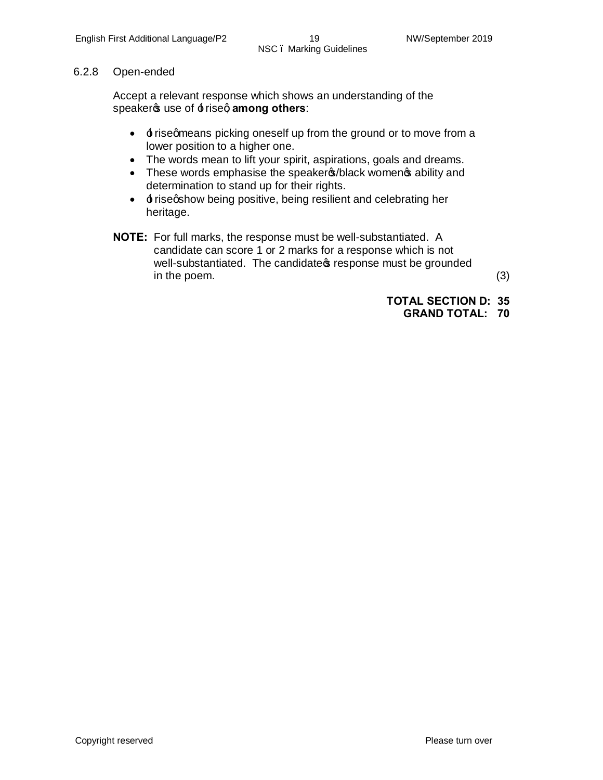#### 6.2.8 Open-ended

Accept a relevant response which shows an understanding of the speaker<sub>®</sub> use of  $\pm$  riseq among others:

- $\cdot$   $\pm$  risegmeans picking oneself up from the ground or to move from a lower position to a higher one.
- · The words mean to lift your spirit, aspirations, goals and dreams.
- These words emphasise the speaker (black women of ability and determination to stand up for their rights.
- $\cdot$   $\pm$  risegshow being positive, being resilient and celebrating her heritage.
- **NOTE:** For full marks, the response must be well-substantiated. A candidate can score 1 or 2 marks for a response which is not well-substantiated. The candidate is response must be grounded in the poem. (3)

**TOTAL SECTION D: 35**

**GRAND TOTAL: 70**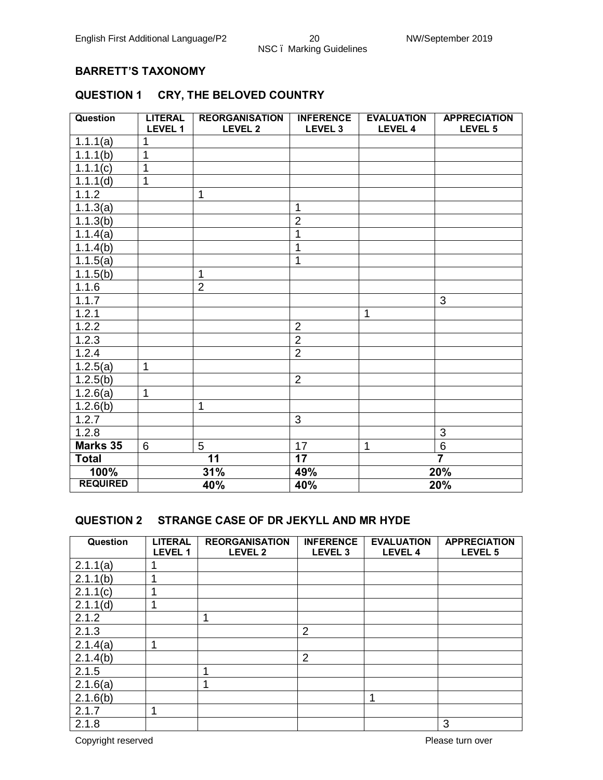#### **BARRETT'S TAXONOMY**

#### **QUESTION 1 CRY, THE BELOVED COUNTRY**

| <b>Question</b> | <b>LITERAL</b><br>LEVEL 1 | <b>REORGANISATION</b><br><b>LEVEL 2</b> | <b>INFERENCE</b><br>LEVEL <sub>3</sub> | <b>EVALUATION</b><br>LEVEL 4 | <b>APPRECIATION</b><br>LEVEL 5 |
|-----------------|---------------------------|-----------------------------------------|----------------------------------------|------------------------------|--------------------------------|
| 1.1.1(a)        | 1                         |                                         |                                        |                              |                                |
| 1.1.1(b)        | 1                         |                                         |                                        |                              |                                |
| 1.1.1(c)        | 1                         |                                         |                                        |                              |                                |
| 1.1.1(d)        | $\mathbf{1}$              |                                         |                                        |                              |                                |
| 1.1.2           |                           | $\mathbf{1}$                            |                                        |                              |                                |
| 1.1.3(a)        |                           |                                         | 1                                      |                              |                                |
| 1.1.3(b)        |                           |                                         | $\overline{2}$                         |                              |                                |
| 1.1.4(a)        |                           |                                         | 1                                      |                              |                                |
| 1.1.4(b)        |                           |                                         | 1                                      |                              |                                |
| 1.1.5(a)        |                           |                                         | 1                                      |                              |                                |
| 1.1.5(b)        |                           | $\mathbf{1}$                            |                                        |                              |                                |
| 1.1.6           |                           | $\overline{2}$                          |                                        |                              |                                |
| 1.1.7           |                           |                                         |                                        |                              | 3                              |
| 1.2.1           |                           |                                         |                                        | 1                            |                                |
| 1.2.2           |                           |                                         | $\overline{2}$                         |                              |                                |
| 1.2.3           |                           |                                         | $\overline{2}$                         |                              |                                |
| 1.2.4           |                           |                                         | $\overline{2}$                         |                              |                                |
| 1.2.5(a)        | $\mathbf{1}$              |                                         |                                        |                              |                                |
| 1.2.5(b)        |                           |                                         | $\overline{2}$                         |                              |                                |
| 1.2.6(a)        | $\mathbf{1}$              |                                         |                                        |                              |                                |
| 1.2.6(b)        |                           | $\mathbf{1}$                            |                                        |                              |                                |
| 1.2.7           |                           |                                         | 3                                      |                              |                                |
| 1.2.8           |                           |                                         |                                        |                              | 3                              |
| Marks 35        | 6                         | 5                                       | 17                                     | 1                            | 6                              |
| <b>Total</b>    |                           | 11                                      | 17                                     |                              | $\overline{\mathbf{7}}$        |
| 100%            |                           | 31%                                     | 49%                                    | 20%                          |                                |
| <b>REQUIRED</b> |                           | 40%                                     | 40%                                    | 20%                          |                                |

#### **QUESTION 2 STRANGE CASE OF DR JEKYLL AND MR HYDE**

| Question | <b>LITERAL</b><br><b>LEVEL 1</b> | <b>REORGANISATION</b><br><b>LEVEL 2</b> | <b>INFERENCE</b><br>LEVEL <sub>3</sub> | <b>EVALUATION</b><br><b>LEVEL 4</b> | <b>APPRECIATION</b><br>LEVEL 5 |
|----------|----------------------------------|-----------------------------------------|----------------------------------------|-------------------------------------|--------------------------------|
| 2.1.1(a) |                                  |                                         |                                        |                                     |                                |
| 2.1.1(b) |                                  |                                         |                                        |                                     |                                |
| 2.1.1(c) |                                  |                                         |                                        |                                     |                                |
| 2.1.1(d) | 1                                |                                         |                                        |                                     |                                |
| 2.1.2    |                                  | и                                       |                                        |                                     |                                |
| 2.1.3    |                                  |                                         | $\overline{2}$                         |                                     |                                |
| 2.1.4(a) | 1                                |                                         |                                        |                                     |                                |
| 2.1.4(b) |                                  |                                         | $\overline{2}$                         |                                     |                                |
| 2.1.5    |                                  |                                         |                                        |                                     |                                |
| 2.1.6(a) |                                  |                                         |                                        |                                     |                                |
| 2.1.6(b) |                                  |                                         |                                        | 4                                   |                                |
| 2.1.7    |                                  |                                         |                                        |                                     |                                |
| 2.1.8    |                                  |                                         |                                        |                                     | 3                              |

Copyright reserved **Please** turn over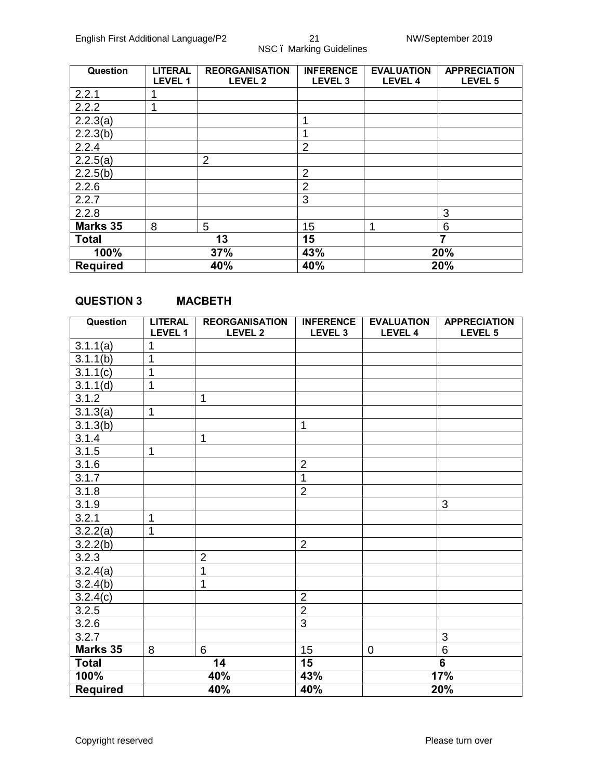| Question               | <b>LITERAL</b><br><b>LEVEL 1</b> | <b>REORGANISATION</b><br><b>LEVEL 2</b> | <b>INFERENCE</b><br>LEVEL <sub>3</sub> | <b>EVALUATION</b><br><b>LEVEL 4</b> | <b>APPRECIATION</b><br>LEVEL <sub>5</sub> |
|------------------------|----------------------------------|-----------------------------------------|----------------------------------------|-------------------------------------|-------------------------------------------|
| 2.2.1                  |                                  |                                         |                                        |                                     |                                           |
| 2.2.2                  | 4                                |                                         |                                        |                                     |                                           |
| 2.2.3(a)               |                                  |                                         | и                                      |                                     |                                           |
| 2.2.3(b)               |                                  |                                         | и                                      |                                     |                                           |
| 2.2.4                  |                                  |                                         | 2                                      |                                     |                                           |
| 2.2.5(a)               |                                  | $\overline{2}$                          |                                        |                                     |                                           |
| 2.2.5(b)               |                                  |                                         | $\overline{2}$                         |                                     |                                           |
| 2.2.6                  |                                  |                                         | 2                                      |                                     |                                           |
| 2.2.7                  |                                  |                                         | 3                                      |                                     |                                           |
| 2.2.8                  |                                  |                                         |                                        |                                     | 3                                         |
| <b>Marks 35</b>        | 8                                | 5                                       | 15                                     | ٠                                   | 6                                         |
| <b>Total</b>           |                                  | 13                                      | 15                                     |                                     | 7                                         |
| 100%                   |                                  | 37%                                     | 43%                                    |                                     | 20%                                       |
| 40%<br><b>Required</b> |                                  |                                         | 40%                                    | 20%                                 |                                           |

#### **QUESTION 3 MACBETH**

| <b>Question</b> | <b>LITERAL</b> | <b>REORGANISATION</b> | <b>INFERENCE</b>   | <b>EVALUATION</b> | <b>APPRECIATION</b>     |
|-----------------|----------------|-----------------------|--------------------|-------------------|-------------------------|
|                 | LEVEL 1        | LEVEL 2               | LEVEL <sub>3</sub> | <b>LEVEL 4</b>    | LEVEL 5                 |
| 3.1.1(a)        | 1              |                       |                    |                   |                         |
| 3.1.1(b)        | 1              |                       |                    |                   |                         |
| 3.1.1(c)        | 1              |                       |                    |                   |                         |
| 3.1.1(d)        | 1              |                       |                    |                   |                         |
| 3.1.2           |                | $\mathbf{1}$          |                    |                   |                         |
| 3.1.3(a)        | $\mathbf{1}$   |                       |                    |                   |                         |
| 3.1.3(b)        |                |                       | 1                  |                   |                         |
| 3.1.4           |                | $\mathbf 1$           |                    |                   |                         |
| 3.1.5           | $\mathbf{1}$   |                       |                    |                   |                         |
| 3.1.6           |                |                       | $\overline{2}$     |                   |                         |
| 3.1.7           |                |                       | $\overline{1}$     |                   |                         |
| 3.1.8           |                |                       | $\overline{2}$     |                   |                         |
| 3.1.9           |                |                       |                    |                   | 3                       |
| 3.2.1           | $\mathbf{1}$   |                       |                    |                   |                         |
| 3.2.2(a)        | $\mathbf{1}$   |                       |                    |                   |                         |
| 3.2.2(b)        |                |                       | $\overline{2}$     |                   |                         |
| 3.2.3           |                | $\overline{2}$        |                    |                   |                         |
| 3.2.4(a)        |                | 1                     |                    |                   |                         |
| 3.2.4(b)        |                | 1                     |                    |                   |                         |
| 3.2.4(c)        |                |                       | $\overline{2}$     |                   |                         |
| 3.2.5           |                |                       | $\overline{2}$     |                   |                         |
| 3.2.6           |                |                       | $\overline{3}$     |                   |                         |
| 3.2.7           |                |                       |                    |                   | 3                       |
| Marks 35        | 8              | 6                     | 15                 | $\overline{0}$    | $6\phantom{1}$          |
| <b>Total</b>    |                | 14                    | 15                 |                   | $\overline{\mathbf{6}}$ |
| 100%            |                | 40%                   | 43%                | 17%               |                         |
| <b>Required</b> |                | 40%                   | 40%                | 20%               |                         |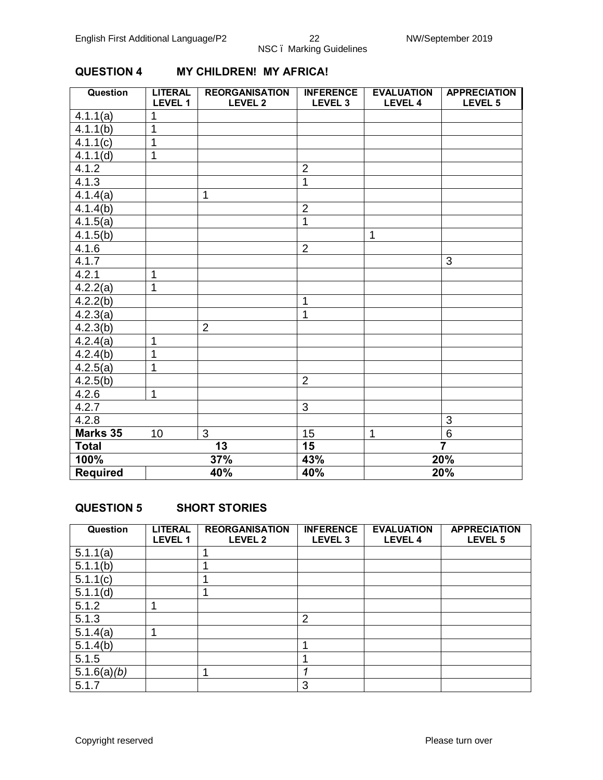#### **Question LITERAL LEVEL 1 REORGANISATION LEVEL 2 INFERENCE LEVEL 3 EVALUATION LEVEL 4 APPRECIATION LEVEL 5**  $4.1.1(a)$  1 4.1.1(b) | 1 4.1.1(c) | 1  $4.1.1(d)$  1 4.1.2 2 4.1.3 1 4.1.4(a) 1 4.1.4(b) 2 4.1.5(a) 1 4.1.5(b) 1 4.1.6 2 4.1.7 3  $4.2.1$  1  $4.2.2(a)$  1  $4.2.2(b)$  | 1 4.2.3(a) 1  $4.2.3(b)$  2  $\begin{array}{|c|c|c|}\n 4.2.4(a) & 1 \\
\hline\n 4.2.4(b) & 1\n \end{array}$  $4.2.4(b)$  $4.2.5(a)$  | 1 4.2.5(b) 2 4.2.6 1 4.2.7 3 4.2.8 3 **Marks 35** 10 3 15 1 6<br>**Total** 13 15 7 **Total 13 15 7 100% 37% 43% 20% Required 40% 40% 20%**

#### **QUESTION 4 MY CHILDREN! MY AFRICA!**

#### **QUESTION 5 SHORT STORIES**

| Question                | <b>LITERAL</b><br><b>LEVEL 1</b> | <b>REORGANISATION</b><br><b>LEVEL 2</b> | <b>INFERENCE</b><br>LEVEL <sub>3</sub> | <b>EVALUATION</b><br><b>LEVEL 4</b> | <b>APPRECIATION</b><br>LEVEL 5 |
|-------------------------|----------------------------------|-----------------------------------------|----------------------------------------|-------------------------------------|--------------------------------|
| 5.1.1(a)                |                                  |                                         |                                        |                                     |                                |
| 5.1.1(b)                |                                  |                                         |                                        |                                     |                                |
| 5.1.1(c)                |                                  |                                         |                                        |                                     |                                |
| 5.1.1(d)                |                                  |                                         |                                        |                                     |                                |
| 5.1.2                   |                                  |                                         |                                        |                                     |                                |
| 5.1.3                   |                                  |                                         | $\overline{2}$                         |                                     |                                |
| 5.1.4(a)                | ۸                                |                                         |                                        |                                     |                                |
| 5.1.4(b)                |                                  |                                         |                                        |                                     |                                |
| 5.1.5                   |                                  |                                         |                                        |                                     |                                |
| $5.1.6(a)$ ( <i>b</i> ) |                                  |                                         |                                        |                                     |                                |
| 5.1.7                   |                                  |                                         | 3                                      |                                     |                                |